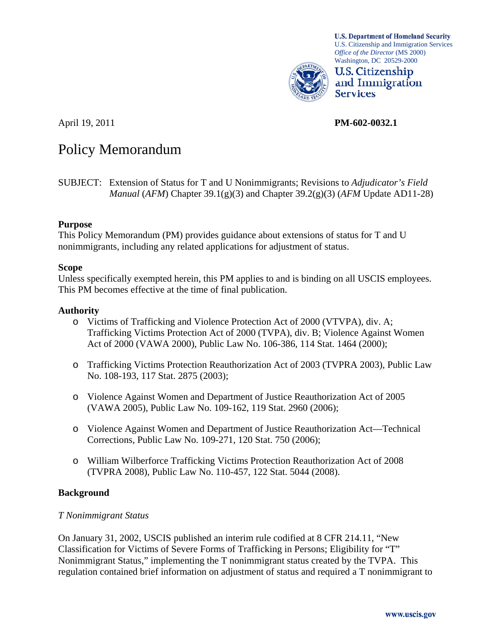

**U.S. Department of Homeland Security** U.S. Citizenship and Immigration Services *Office of the Director* (MS 2000) Washington, DC 20529-2000



April 19, 2011 **PM-602-0032.1** 

# Policy Memorandum

# **Purpose**

This Policy Memorandum (PM) provides guidance about extensions of status for T and U nonimmigrants, including any related applications for adjustment of status.

# **Scope**

Unless specifically exempted herein, this PM applies to and is binding on all USCIS employees. This PM becomes effective at the time of final publication.

# **Authority**

- o Victims of Trafficking and Violence Protection Act of 2000 (VTVPA), div. A; Trafficking Victims Protection Act of 2000 (TVPA), div. B; Violence Against Women Act of 2000 (VAWA 2000), Public Law No. 106-386, 114 Stat. 1464 (2000);
- o Trafficking Victims Protection Reauthorization Act of 2003 (TVPRA 2003), Public Law No. 108-193, 117 Stat. 2875 (2003);
- o Violence Against Women and Department of Justice Reauthorization Act of 2005 (VAWA 2005), Public Law No. 109-162, 119 Stat. 2960 (2006);
- o Violence Against Women and Department of Justice Reauthorization Act—Technical Corrections, Public Law No. 109-271, 120 Stat. 750 (2006);
- o William Wilberforce Trafficking Victims Protection Reauthorization Act of 2008 (TVPRA 2008), Public Law No. 110-457, 122 Stat. 5044 (2008).

# **Background**

# *T Nonimmigrant Status*

On January 31, 2002, USCIS published an interim rule codified at 8 CFR 214.11, "New Classification for Victims of Severe Forms of Trafficking in Persons; Eligibility for "T" Nonimmigrant Status," implementing the T nonimmigrant status created by the TVPA. This regulation contained brief information on adjustment of status and required a T nonimmigrant to

SUBJECT: Extension of Status for T and U Nonimmigrants; Revisions to *Adjudicator's Field Manual* (*AFM*) Chapter 39.1(g)(3) and Chapter 39.2(g)(3) (*AFM* Update AD11-28)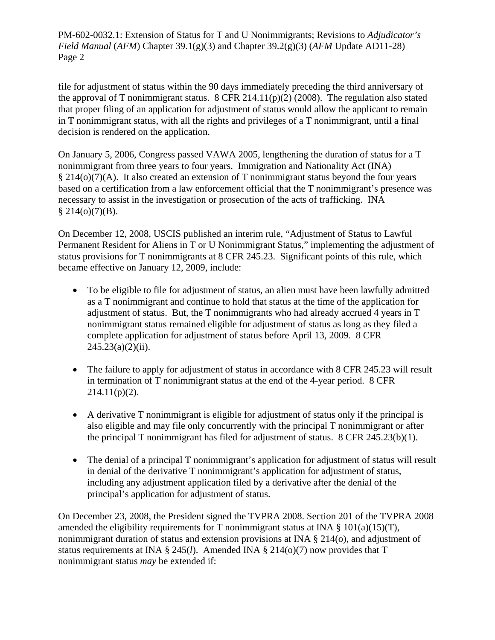file for adjustment of status within the 90 days immediately preceding the third anniversary of the approval of T nonimmigrant status. 8 CFR 214.11(p)(2) (2008). The regulation also stated that proper filing of an application for adjustment of status would allow the applicant to remain in T nonimmigrant status, with all the rights and privileges of a T nonimmigrant, until a final decision is rendered on the application.

On January 5, 2006, Congress passed VAWA 2005, lengthening the duration of status for a T nonimmigrant from three years to four years. Immigration and Nationality Act (INA) § 214(o)(7)(A). It also created an extension of T nonimmigrant status beyond the four years based on a certification from a law enforcement official that the T nonimmigrant's presence was necessary to assist in the investigation or prosecution of the acts of trafficking. INA  $§$  214(o)(7)(B).

On December 12, 2008, USCIS published an interim rule, "Adjustment of Status to Lawful Permanent Resident for Aliens in T or U Nonimmigrant Status," implementing the adjustment of status provisions for T nonimmigrants at 8 CFR 245.23. Significant points of this rule, which became effective on January 12, 2009, include:

- To be eligible to file for adjustment of status, an alien must have been lawfully admitted as a T nonimmigrant and continue to hold that status at the time of the application for adjustment of status. But, the T nonimmigrants who had already accrued 4 years in T nonimmigrant status remained eligible for adjustment of status as long as they filed a complete application for adjustment of status before April 13, 2009. 8 CFR  $245.23(a)(2)(ii)$ .
- The failure to apply for adjustment of status in accordance with 8 CFR 245.23 will result in termination of T nonimmigrant status at the end of the 4-year period. 8 CFR  $214.11(p)(2)$ .
- A derivative T nonimmigrant is eligible for adjustment of status only if the principal is also eligible and may file only concurrently with the principal T nonimmigrant or after the principal T nonimmigrant has filed for adjustment of status. 8 CFR 245.23(b)(1).
- The denial of a principal T nonimmigrant's application for adjustment of status will result in denial of the derivative T nonimmigrant's application for adjustment of status, including any adjustment application filed by a derivative after the denial of the principal's application for adjustment of status.

On December 23, 2008, the President signed the TVPRA 2008. Section 201 of the TVPRA 2008 amended the eligibility requirements for T nonimmigrant status at INA  $\S$  101(a)(15)(T), nonimmigrant duration of status and extension provisions at INA § 214(o), and adjustment of status requirements at INA § 245(*l*). Amended INA § 214(o)(7) now provides that T nonimmigrant status *may* be extended if: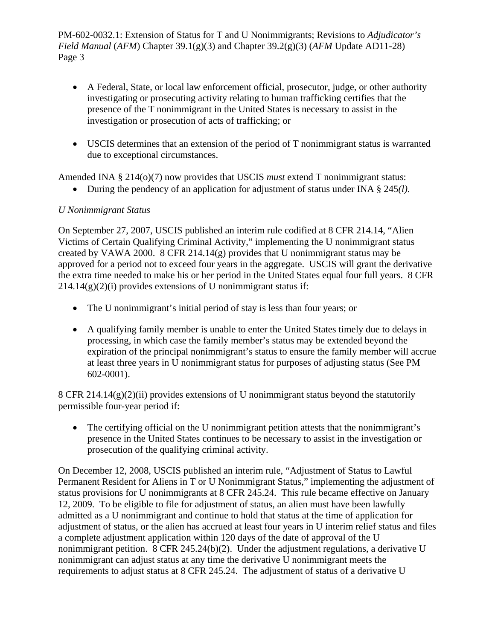- A Federal, State, or local law enforcement official, prosecutor, judge, or other authority investigating or prosecuting activity relating to human trafficking certifies that the presence of the T nonimmigrant in the United States is necessary to assist in the investigation or prosecution of acts of trafficking; or
- USCIS determines that an extension of the period of T nonimmigrant status is warranted due to exceptional circumstances.

Amended INA § 214(o)(7) now provides that USCIS *must* extend T nonimmigrant status:

During the pendency of an application for adjustment of status under INA § 245*(l)*.

# *U Nonimmigrant Status*

On September 27, 2007, USCIS published an interim rule codified at 8 CFR 214.14, "Alien Victims of Certain Qualifying Criminal Activity," implementing the U nonimmigrant status created by VAWA 2000. 8 CFR 214.14(g) provides that U nonimmigrant status may be approved for a period not to exceed four years in the aggregate. USCIS will grant the derivative the extra time needed to make his or her period in the United States equal four full years. 8 CFR  $214.14(g)(2)(i)$  provides extensions of U nonimmigrant status if:

- The U nonimmigrant's initial period of stay is less than four years; or
- A qualifying family member is unable to enter the United States timely due to delays in processing, in which case the family member's status may be extended beyond the expiration of the principal nonimmigrant's status to ensure the family member will accrue at least three years in U nonimmigrant status for purposes of adjusting status (See PM 602-0001).

8 CFR 214.14(g)(2)(ii) provides extensions of U nonimmigrant status beyond the statutorily permissible four-year period if:

• The certifying official on the U nonimmigrant petition attests that the nonimmigrant's presence in the United States continues to be necessary to assist in the investigation or prosecution of the qualifying criminal activity.

On December 12, 2008, USCIS published an interim rule, "Adjustment of Status to Lawful Permanent Resident for Aliens in T or U Nonimmigrant Status," implementing the adjustment of status provisions for U nonimmigrants at 8 CFR 245.24. This rule became effective on January 12, 2009. To be eligible to file for adjustment of status, an alien must have been lawfully admitted as a U nonimmigrant and continue to hold that status at the time of application for adjustment of status, or the alien has accrued at least four years in U interim relief status and files a complete adjustment application within 120 days of the date of approval of the U nonimmigrant petition. 8 CFR 245.24(b)(2). Under the adjustment regulations, a derivative U nonimmigrant can adjust status at any time the derivative U nonimmigrant meets the requirements to adjust status at 8 CFR 245.24. The adjustment of status of a derivative U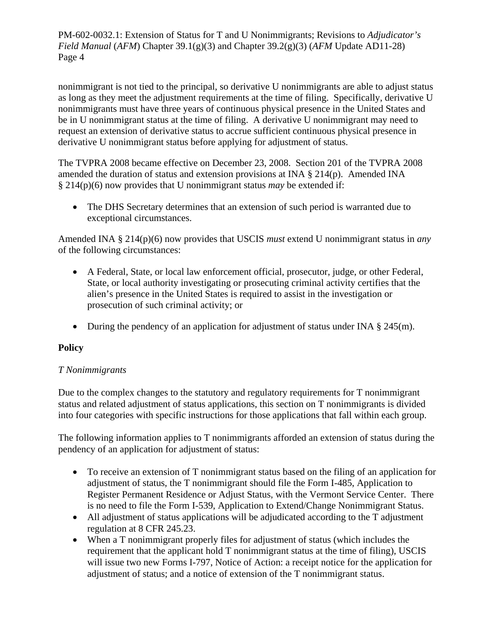nonimmigrant is not tied to the principal, so derivative U nonimmigrants are able to adjust status as long as they meet the adjustment requirements at the time of filing. Specifically, derivative U nonimmigrants must have three years of continuous physical presence in the United States and be in U nonimmigrant status at the time of filing. A derivative U nonimmigrant may need to request an extension of derivative status to accrue sufficient continuous physical presence in derivative U nonimmigrant status before applying for adjustment of status.

The TVPRA 2008 became effective on December 23, 2008. Section 201 of the TVPRA 2008 amended the duration of status and extension provisions at INA § 214(p). Amended INA § 214(p)(6) now provides that U nonimmigrant status *may* be extended if:

• The DHS Secretary determines that an extension of such period is warranted due to exceptional circumstances.

Amended INA § 214(p)(6) now provides that USCIS *must* extend U nonimmigrant status in *any*  of the following circumstances:

- A Federal, State, or local law enforcement official, prosecutor, judge, or other Federal, State, or local authority investigating or prosecuting criminal activity certifies that the alien's presence in the United States is required to assist in the investigation or prosecution of such criminal activity; or
- During the pendency of an application for adjustment of status under INA  $\S$  245(m).

# **Policy**

# *T Nonimmigrants*

Due to the complex changes to the statutory and regulatory requirements for T nonimmigrant status and related adjustment of status applications, this section on T nonimmigrants is divided into four categories with specific instructions for those applications that fall within each group.

The following information applies to T nonimmigrants afforded an extension of status during the pendency of an application for adjustment of status:

- To receive an extension of T nonimmigrant status based on the filing of an application for adjustment of status, the T nonimmigrant should file the Form I-485, Application to Register Permanent Residence or Adjust Status, with the Vermont Service Center. There is no need to file the Form I-539, Application to Extend/Change Nonimmigrant Status.
- All adjustment of status applications will be adjudicated according to the T adjustment regulation at 8 CFR 245.23.
- When a T nonimmigrant properly files for adjustment of status (which includes the requirement that the applicant hold T nonimmigrant status at the time of filing), USCIS will issue two new Forms I-797, Notice of Action: a receipt notice for the application for adjustment of status; and a notice of extension of the T nonimmigrant status.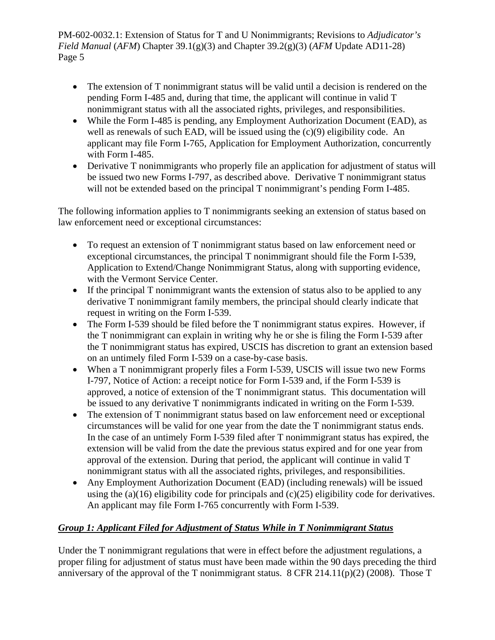- The extension of T nonimmigrant status will be valid until a decision is rendered on the pending Form I-485 and, during that time, the applicant will continue in valid T nonimmigrant status with all the associated rights, privileges, and responsibilities.
- While the Form I-485 is pending, any Employment Authorization Document (EAD), as well as renewals of such EAD, will be issued using the (c)(9) eligibility code. An applicant may file Form I-765, Application for Employment Authorization, concurrently with Form I-485.
- Derivative T nonimmigrants who properly file an application for adjustment of status will be issued two new Forms I-797, as described above. Derivative T nonimmigrant status will not be extended based on the principal T nonimmigrant's pending Form I-485.

The following information applies to T nonimmigrants seeking an extension of status based on law enforcement need or exceptional circumstances:

- To request an extension of T nonimmigrant status based on law enforcement need or exceptional circumstances, the principal T nonimmigrant should file the Form I-539, Application to Extend/Change Nonimmigrant Status, along with supporting evidence, with the Vermont Service Center.
- If the principal T nonimmigrant wants the extension of status also to be applied to any derivative T nonimmigrant family members, the principal should clearly indicate that request in writing on the Form I-539.
- The Form I-539 should be filed before the T nonimmigrant status expires. However, if the T nonimmigrant can explain in writing why he or she is filing the Form I-539 after the T nonimmigrant status has expired, USCIS has discretion to grant an extension based on an untimely filed Form I-539 on a case-by-case basis.
- When a T nonimmigrant properly files a Form I-539, USCIS will issue two new Forms I-797, Notice of Action: a receipt notice for Form I-539 and, if the Form I-539 is approved, a notice of extension of the T nonimmigrant status. This documentation will be issued to any derivative T nonimmigrants indicated in writing on the Form I-539.
- The extension of T nonimmigrant status based on law enforcement need or exceptional circumstances will be valid for one year from the date the T nonimmigrant status ends. In the case of an untimely Form I-539 filed after T nonimmigrant status has expired, the extension will be valid from the date the previous status expired and for one year from approval of the extension. During that period, the applicant will continue in valid T nonimmigrant status with all the associated rights, privileges, and responsibilities.
- Any Employment Authorization Document (EAD) (including renewals) will be issued using the (a)(16) eligibility code for principals and (c)(25) eligibility code for derivatives. An applicant may file Form I-765 concurrently with Form I-539.

# *Group 1: Applicant Filed for Adjustment of Status While in T Nonimmigrant Status*

Under the T nonimmigrant regulations that were in effect before the adjustment regulations, a proper filing for adjustment of status must have been made within the 90 days preceding the third anniversary of the approval of the T nonimmigrant status. 8 CFR 214.11(p)(2) (2008). Those T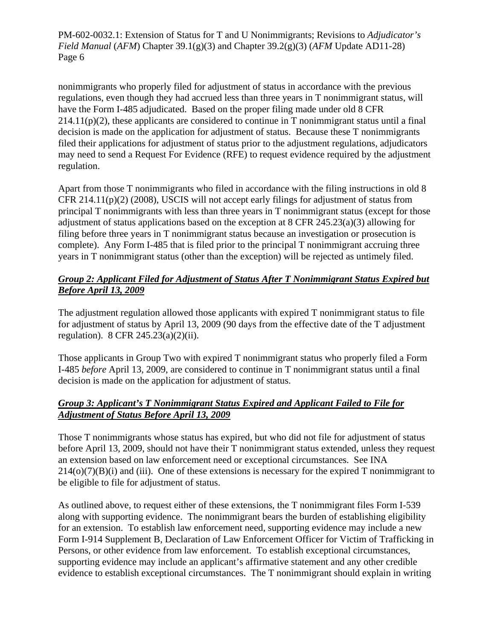nonimmigrants who properly filed for adjustment of status in accordance with the previous regulations, even though they had accrued less than three years in T nonimmigrant status, will have the Form I-485 adjudicated. Based on the proper filing made under old 8 CFR  $214.11(p)(2)$ , these applicants are considered to continue in T nonimmigrant status until a final decision is made on the application for adjustment of status. Because these T nonimmigrants filed their applications for adjustment of status prior to the adjustment regulations, adjudicators may need to send a Request For Evidence (RFE) to request evidence required by the adjustment regulation.

Apart from those T nonimmigrants who filed in accordance with the filing instructions in old 8 CFR 214.11(p)(2) (2008), USCIS will not accept early filings for adjustment of status from principal T nonimmigrants with less than three years in T nonimmigrant status (except for those adjustment of status applications based on the exception at 8 CFR 245.23(a)(3) allowing for filing before three years in T nonimmigrant status because an investigation or prosecution is complete). Any Form I-485 that is filed prior to the principal T nonimmigrant accruing three years in T nonimmigrant status (other than the exception) will be rejected as untimely filed.

# *Group 2: Applicant Filed for Adjustment of Status After T Nonimmigrant Status Expired but Before April 13, 2009*

The adjustment regulation allowed those applicants with expired T nonimmigrant status to file for adjustment of status by April 13, 2009 (90 days from the effective date of the T adjustment regulation). 8 CFR 245.23(a)(2)(ii).

Those applicants in Group Two with expired T nonimmigrant status who properly filed a Form I-485 *before* April 13, 2009, are considered to continue in T nonimmigrant status until a final decision is made on the application for adjustment of status.

# *Group 3: Applicant's T Nonimmigrant Status Expired and Applicant Failed to File for Adjustment of Status Before April 13, 2009*

Those T nonimmigrants whose status has expired, but who did not file for adjustment of status before April 13, 2009, should not have their T nonimmigrant status extended, unless they request an extension based on law enforcement need or exceptional circumstances. See INA  $214(o)(7)(B)(i)$  and (iii). One of these extensions is necessary for the expired T nonimmigrant to be eligible to file for adjustment of status.

As outlined above, to request either of these extensions, the T nonimmigrant files Form I-539 along with supporting evidence. The nonimmigrant bears the burden of establishing eligibility for an extension. To establish law enforcement need, supporting evidence may include a new Form I-914 Supplement B, Declaration of Law Enforcement Officer for Victim of Trafficking in Persons, or other evidence from law enforcement. To establish exceptional circumstances, supporting evidence may include an applicant's affirmative statement and any other credible evidence to establish exceptional circumstances. The T nonimmigrant should explain in writing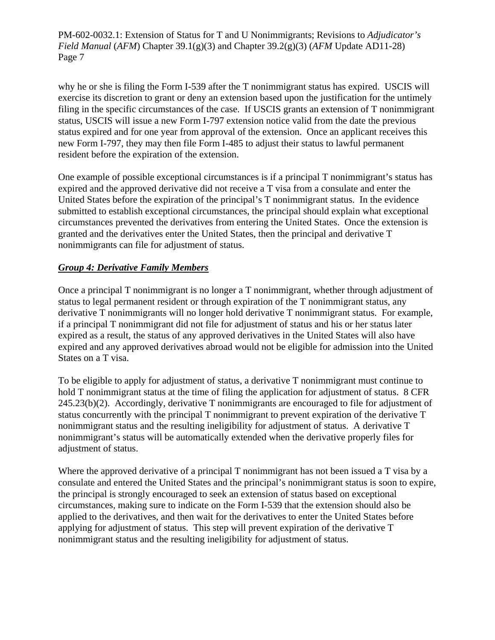why he or she is filing the Form I-539 after the T nonimmigrant status has expired. USCIS will exercise its discretion to grant or deny an extension based upon the justification for the untimely filing in the specific circumstances of the case. If USCIS grants an extension of T nonimmigrant status, USCIS will issue a new Form I-797 extension notice valid from the date the previous status expired and for one year from approval of the extension. Once an applicant receives this new Form I-797, they may then file Form I-485 to adjust their status to lawful permanent resident before the expiration of the extension.

One example of possible exceptional circumstances is if a principal T nonimmigrant's status has expired and the approved derivative did not receive a T visa from a consulate and enter the United States before the expiration of the principal's T nonimmigrant status. In the evidence submitted to establish exceptional circumstances, the principal should explain what exceptional circumstances prevented the derivatives from entering the United States. Once the extension is granted and the derivatives enter the United States, then the principal and derivative T nonimmigrants can file for adjustment of status.

# *Group 4: Derivative Family Members*

Once a principal T nonimmigrant is no longer a T nonimmigrant, whether through adjustment of status to legal permanent resident or through expiration of the T nonimmigrant status, any derivative T nonimmigrants will no longer hold derivative T nonimmigrant status. For example, if a principal T nonimmigrant did not file for adjustment of status and his or her status later expired as a result, the status of any approved derivatives in the United States will also have expired and any approved derivatives abroad would not be eligible for admission into the United States on a T visa.

To be eligible to apply for adjustment of status, a derivative T nonimmigrant must continue to hold T nonimmigrant status at the time of filing the application for adjustment of status. 8 CFR 245.23(b)(2). Accordingly, derivative T nonimmigrants are encouraged to file for adjustment of status concurrently with the principal T nonimmigrant to prevent expiration of the derivative T nonimmigrant status and the resulting ineligibility for adjustment of status. A derivative T nonimmigrant's status will be automatically extended when the derivative properly files for adjustment of status.

Where the approved derivative of a principal T nonimmigrant has not been issued a T visa by a consulate and entered the United States and the principal's nonimmigrant status is soon to expire, the principal is strongly encouraged to seek an extension of status based on exceptional circumstances, making sure to indicate on the Form I-539 that the extension should also be applied to the derivatives, and then wait for the derivatives to enter the United States before applying for adjustment of status. This step will prevent expiration of the derivative T nonimmigrant status and the resulting ineligibility for adjustment of status.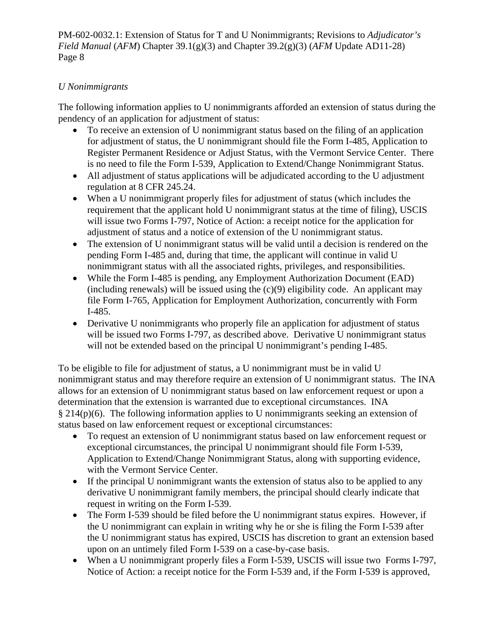# *U Nonimmigrants*

The following information applies to U nonimmigrants afforded an extension of status during the pendency of an application for adjustment of status:

- To receive an extension of U nonimmigrant status based on the filing of an application for adjustment of status, the U nonimmigrant should file the Form I-485, Application to Register Permanent Residence or Adjust Status, with the Vermont Service Center. There is no need to file the Form I-539, Application to Extend/Change Nonimmigrant Status.
- All adjustment of status applications will be adjudicated according to the U adjustment regulation at 8 CFR 245.24.
- When a U nonimmigrant properly files for adjustment of status (which includes the requirement that the applicant hold U nonimmigrant status at the time of filing), USCIS will issue two Forms I-797, Notice of Action: a receipt notice for the application for adjustment of status and a notice of extension of the U nonimmigrant status.
- The extension of U nonimmigrant status will be valid until a decision is rendered on the pending Form I-485 and, during that time, the applicant will continue in valid U nonimmigrant status with all the associated rights, privileges, and responsibilities.
- While the Form I-485 is pending, any Employment Authorization Document (EAD) (including renewals) will be issued using the  $(c)(9)$  eligibility code. An applicant may file Form I-765, Application for Employment Authorization, concurrently with Form I-485.
- Derivative U nonimmigrants who properly file an application for adjustment of status will be issued two Forms I-797, as described above. Derivative U nonimmigrant status will not be extended based on the principal U nonimmigrant's pending I-485.

To be eligible to file for adjustment of status, a U nonimmigrant must be in valid U nonimmigrant status and may therefore require an extension of U nonimmigrant status. The INA allows for an extension of U nonimmigrant status based on law enforcement request or upon a determination that the extension is warranted due to exceptional circumstances. INA § 214(p)(6). The following information applies to U nonimmigrants seeking an extension of status based on law enforcement request or exceptional circumstances:

- To request an extension of U nonimmigrant status based on law enforcement request or exceptional circumstances, the principal U nonimmigrant should file Form I-539, Application to Extend/Change Nonimmigrant Status, along with supporting evidence, with the Vermont Service Center.
- If the principal U nonimmigrant wants the extension of status also to be applied to any derivative U nonimmigrant family members, the principal should clearly indicate that request in writing on the Form I-539.
- The Form I-539 should be filed before the U nonimmigrant status expires. However, if the U nonimmigrant can explain in writing why he or she is filing the Form I-539 after the U nonimmigrant status has expired, USCIS has discretion to grant an extension based upon on an untimely filed Form I-539 on a case-by-case basis.
- When a U nonimmigrant properly files a Form I-539, USCIS will issue two Forms I-797, Notice of Action: a receipt notice for the Form I-539 and, if the Form I-539 is approved,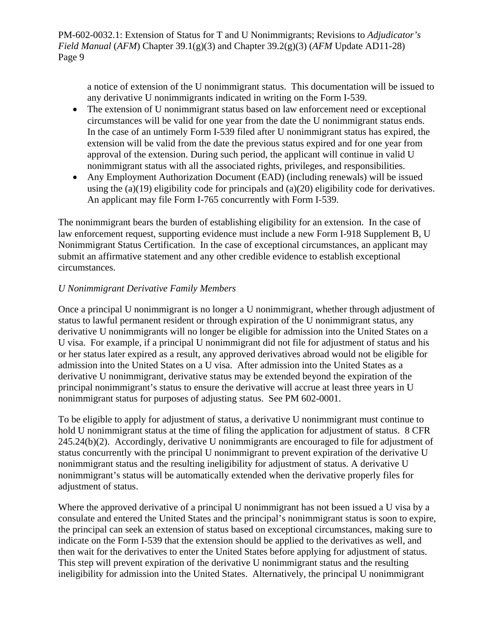a notice of extension of the U nonimmigrant status. This documentation will be issued to any derivative U nonimmigrants indicated in writing on the Form I-539.

- The extension of U nonimmigrant status based on law enforcement need or exceptional circumstances will be valid for one year from the date the U nonimmigrant status ends. In the case of an untimely Form I-539 filed after U nonimmigrant status has expired, the extension will be valid from the date the previous status expired and for one year from approval of the extension. During such period, the applicant will continue in valid U nonimmigrant status with all the associated rights, privileges, and responsibilities.
- Any Employment Authorization Document (EAD) (including renewals) will be issued using the (a)(19) eligibility code for principals and (a)(20) eligibility code for derivatives. An applicant may file Form I-765 concurrently with Form I-539.

The nonimmigrant bears the burden of establishing eligibility for an extension. In the case of law enforcement request, supporting evidence must include a new Form I-918 Supplement B, U Nonimmigrant Status Certification. In the case of exceptional circumstances, an applicant may submit an affirmative statement and any other credible evidence to establish exceptional circumstances.

# *U Nonimmigrant Derivative Family Members*

Once a principal U nonimmigrant is no longer a U nonimmigrant, whether through adjustment of status to lawful permanent resident or through expiration of the U nonimmigrant status, any derivative U nonimmigrants will no longer be eligible for admission into the United States on a U visa. For example, if a principal U nonimmigrant did not file for adjustment of status and his or her status later expired as a result, any approved derivatives abroad would not be eligible for admission into the United States on a U visa. After admission into the United States as a derivative U nonimmigrant, derivative status may be extended beyond the expiration of the principal nonimmigrant's status to ensure the derivative will accrue at least three years in U nonimmigrant status for purposes of adjusting status. See PM 602-0001.

To be eligible to apply for adjustment of status, a derivative U nonimmigrant must continue to hold U nonimmigrant status at the time of filing the application for adjustment of status. 8 CFR 245.24(b)(2). Accordingly, derivative U nonimmigrants are encouraged to file for adjustment of status concurrently with the principal U nonimmigrant to prevent expiration of the derivative U nonimmigrant status and the resulting ineligibility for adjustment of status. A derivative U nonimmigrant's status will be automatically extended when the derivative properly files for adjustment of status.

Where the approved derivative of a principal U nonimmigrant has not been issued a U visa by a consulate and entered the United States and the principal's nonimmigrant status is soon to expire, the principal can seek an extension of status based on exceptional circumstances, making sure to indicate on the Form I-539 that the extension should be applied to the derivatives as well, and then wait for the derivatives to enter the United States before applying for adjustment of status. This step will prevent expiration of the derivative U nonimmigrant status and the resulting ineligibility for admission into the United States. Alternatively, the principal U nonimmigrant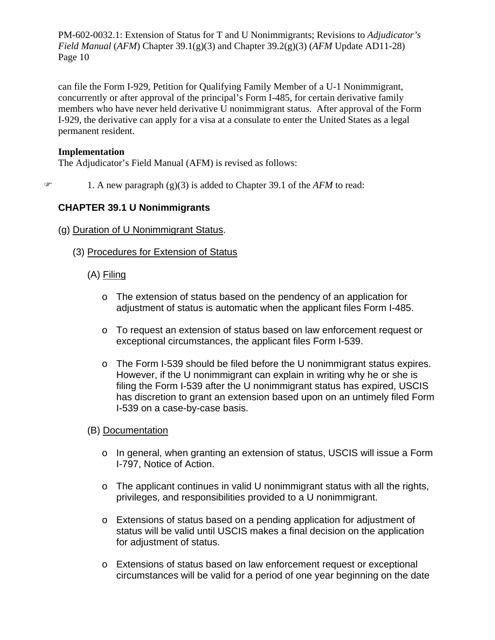can file the Form I-929, Petition for Qualifying Family Member of a U-1 Nonimmigrant, concurrently or after approval of the principal's Form I-485, for certain derivative family members who have never held derivative U nonimmigrant status. After approval of the Form I-929, the derivative can apply for a visa at a consulate to enter the United States as a legal permanent resident.

#### **Implementation**

The Adjudicator's Field Manual (AFM) is revised as follows:

 $\mathcal{F}$  1. A new paragraph (g)(3) is added to Chapter 39.1 of the *AFM* to read:

# **CHAPTER 39.1 U Nonimmigrants**

- (g) Duration of U Nonimmigrant Status.
	- (3) Procedures for Extension of Status
		- (A) Filing
			- o The extension of status based on the pendency of an application for adjustment of status is automatic when the applicant files Form I-485.
			- o To request an extension of status based on law enforcement request or exceptional circumstances, the applicant files Form I-539.
			- o The Form I-539 should be filed before the U nonimmigrant status expires. However, if the U nonimmigrant can explain in writing why he or she is filing the Form I-539 after the U nonimmigrant status has expired, USCIS has discretion to grant an extension based upon on an untimely filed Form I-539 on a case-by-case basis.
		- (B) Documentation
			- o In general, when granting an extension of status, USCIS will issue a Form I-797, Notice of Action.
			- o The applicant continues in valid U nonimmigrant status with all the rights, privileges, and responsibilities provided to a U nonimmigrant.
			- o Extensions of status based on a pending application for adjustment of status will be valid until USCIS makes a final decision on the application for adjustment of status.
			- o Extensions of status based on law enforcement request or exceptional circumstances will be valid for a period of one year beginning on the date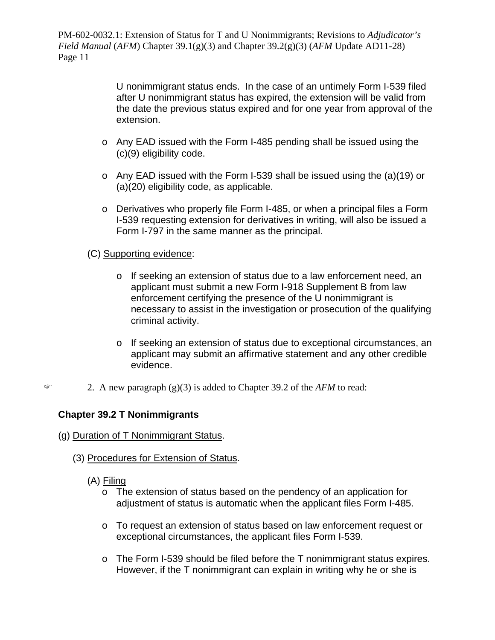> U nonimmigrant status ends. In the case of an untimely Form I-539 filed after U nonimmigrant status has expired, the extension will be valid from the date the previous status expired and for one year from approval of the extension.

- o Any EAD issued with the Form I-485 pending shall be issued using the (c)(9) eligibility code.
- o Any EAD issued with the Form I-539 shall be issued using the (a)(19) or (a)(20) eligibility code, as applicable.
- o Derivatives who properly file Form I-485, or when a principal files a Form I-539 requesting extension for derivatives in writing, will also be issued a Form I-797 in the same manner as the principal.

# (C) Supporting evidence:

- o If seeking an extension of status due to a law enforcement need, an applicant must submit a new Form I-918 Supplement B from law enforcement certifying the presence of the U nonimmigrant is necessary to assist in the investigation or prosecution of the qualifying criminal activity.
- o If seeking an extension of status due to exceptional circumstances, an applicant may submit an affirmative statement and any other credible evidence.
- 2. A new paragraph (g)(3) is added to Chapter 39.2 of the *AFM* to read:

# **Chapter 39.2 T Nonimmigrants**

- (g) Duration of T Nonimmigrant Status.
	- (3) Procedures for Extension of Status.
		- (A) Filing
			- $\circ$  The extension of status based on the pendency of an application for adjustment of status is automatic when the applicant files Form I-485.
			- o To request an extension of status based on law enforcement request or exceptional circumstances, the applicant files Form I-539.
			- o The Form I-539 should be filed before the T nonimmigrant status expires. However, if the T nonimmigrant can explain in writing why he or she is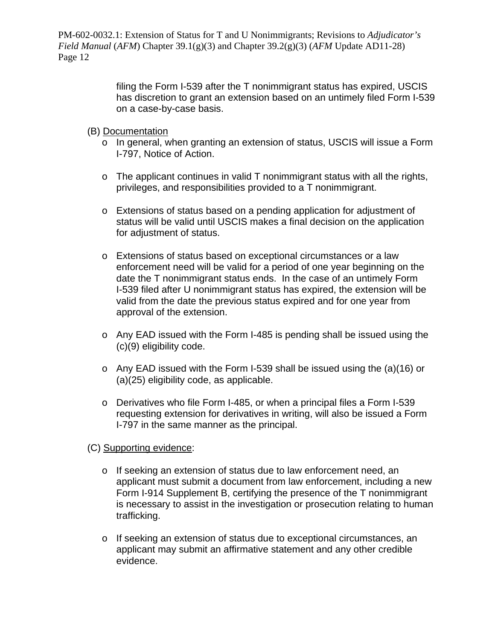> filing the Form I-539 after the T nonimmigrant status has expired, USCIS has discretion to grant an extension based on an untimely filed Form I-539 on a case-by-case basis.

- (B) Documentation
	- o In general, when granting an extension of status, USCIS will issue a Form I-797, Notice of Action.
	- $\circ$  The applicant continues in valid T nonimmigrant status with all the rights, privileges, and responsibilities provided to a T nonimmigrant.
	- o Extensions of status based on a pending application for adjustment of status will be valid until USCIS makes a final decision on the application for adjustment of status.
	- o Extensions of status based on exceptional circumstances or a law enforcement need will be valid for a period of one year beginning on the date the T nonimmigrant status ends. In the case of an untimely Form I-539 filed after U nonimmigrant status has expired, the extension will be valid from the date the previous status expired and for one year from approval of the extension.
	- o Any EAD issued with the Form I-485 is pending shall be issued using the (c)(9) eligibility code.
	- o Any EAD issued with the Form I-539 shall be issued using the (a)(16) or (a)(25) eligibility code, as applicable.
	- o Derivatives who file Form I-485, or when a principal files a Form I-539 requesting extension for derivatives in writing, will also be issued a Form I-797 in the same manner as the principal.
- (C) Supporting evidence:
	- o If seeking an extension of status due to law enforcement need, an applicant must submit a document from law enforcement, including a new Form I-914 Supplement B, certifying the presence of the T nonimmigrant is necessary to assist in the investigation or prosecution relating to human trafficking.
	- o If seeking an extension of status due to exceptional circumstances, an applicant may submit an affirmative statement and any other credible evidence.